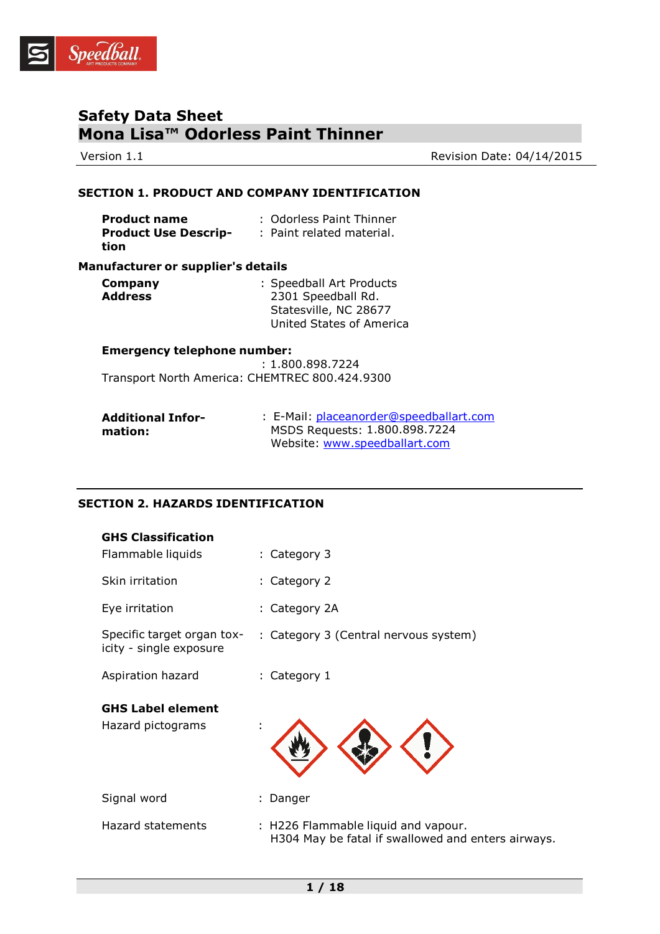

Version 1.1 Version 1.1

## **SECTION 1. PRODUCT AND COMPANY IDENTIFICATION**

| <b>Product name</b>         | : Odorless Paint Thinner  |
|-----------------------------|---------------------------|
| <b>Product Use Descrip-</b> | : Paint related material. |
| tion                        |                           |

#### **Manufacturer or supplier's details**

| Company        | : Speedball Art Products |
|----------------|--------------------------|
| <b>Address</b> | 2301 Speedball Rd.       |
|                | Statesville, NC 28677    |
|                | United States of America |

#### **Emergency telephone number:**

 : 1.800.898.7224 Transport North America: CHEMTREC 800.424.9300

| <b>Additional Infor-</b> | : E-Mail: placeanorder@speedballart.com |
|--------------------------|-----------------------------------------|
| mation:                  | MSDS Requests: 1.800.898.7224           |
|                          | Website: www.speedballart.com           |

## **SECTION 2. HAZARDS IDENTIFICATION**

| <b>GHS Classification</b><br>Flammable liquids        | : Category 3                                                                              |
|-------------------------------------------------------|-------------------------------------------------------------------------------------------|
| Skin irritation                                       | : Category 2                                                                              |
| Eye irritation                                        | : Category 2A                                                                             |
| Specific target organ tox-<br>icity - single exposure | : Category 3 (Central nervous system)                                                     |
| Aspiration hazard                                     | : Category 1                                                                              |
| <b>GHS Label element</b><br>Hazard pictograms         | ÷                                                                                         |
| Signal word                                           | : Danger                                                                                  |
| Hazard statements                                     | : H226 Flammable liquid and vapour.<br>H304 May be fatal if swallowed and enters airways. |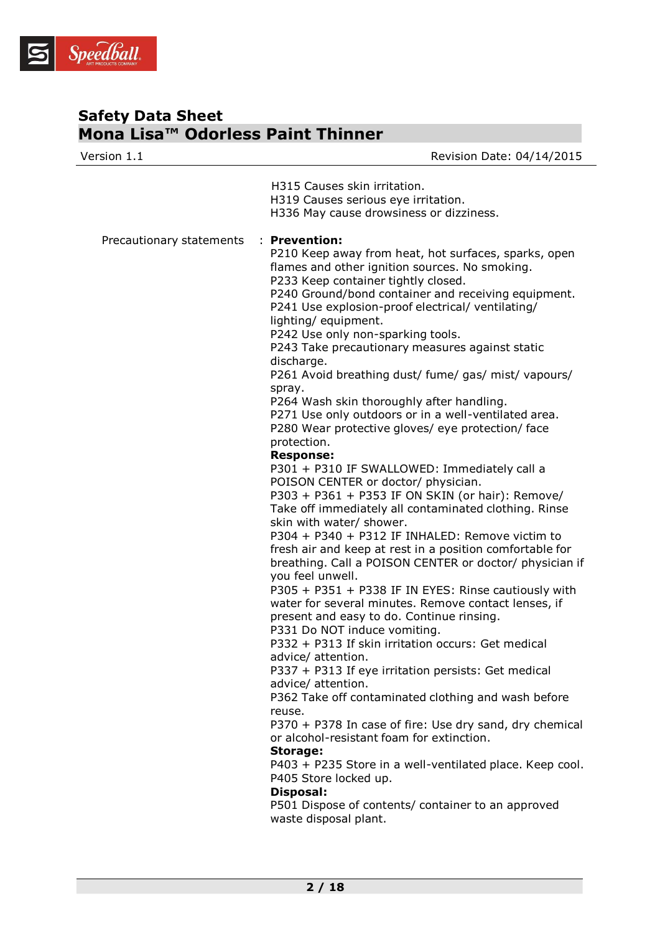

| Version 1.1              | Revision Date: 04/14/2015                                                                                                                                                                                                                                                                                                                                                                                                                                                                                                                                                                                                                                                                                                                                                                                                                                                                                                                                                                                                                                                                                                                                                                                                                                                                                                                                                                                                                                                                                                                                                                                                                                                                                                                                                                                                               |
|--------------------------|-----------------------------------------------------------------------------------------------------------------------------------------------------------------------------------------------------------------------------------------------------------------------------------------------------------------------------------------------------------------------------------------------------------------------------------------------------------------------------------------------------------------------------------------------------------------------------------------------------------------------------------------------------------------------------------------------------------------------------------------------------------------------------------------------------------------------------------------------------------------------------------------------------------------------------------------------------------------------------------------------------------------------------------------------------------------------------------------------------------------------------------------------------------------------------------------------------------------------------------------------------------------------------------------------------------------------------------------------------------------------------------------------------------------------------------------------------------------------------------------------------------------------------------------------------------------------------------------------------------------------------------------------------------------------------------------------------------------------------------------------------------------------------------------------------------------------------------------|
|                          | H315 Causes skin irritation.<br>H319 Causes serious eye irritation.<br>H336 May cause drowsiness or dizziness.                                                                                                                                                                                                                                                                                                                                                                                                                                                                                                                                                                                                                                                                                                                                                                                                                                                                                                                                                                                                                                                                                                                                                                                                                                                                                                                                                                                                                                                                                                                                                                                                                                                                                                                          |
| Precautionary statements | : Prevention:<br>P210 Keep away from heat, hot surfaces, sparks, open<br>flames and other ignition sources. No smoking.<br>P233 Keep container tightly closed.<br>P240 Ground/bond container and receiving equipment.<br>P241 Use explosion-proof electrical/ ventilating/<br>lighting/equipment.<br>P242 Use only non-sparking tools.<br>P243 Take precautionary measures against static<br>discharge.<br>P261 Avoid breathing dust/ fume/ gas/ mist/ vapours/<br>spray.<br>P264 Wash skin thoroughly after handling.<br>P271 Use only outdoors or in a well-ventilated area.<br>P280 Wear protective gloves/ eye protection/ face<br>protection.<br><b>Response:</b><br>P301 + P310 IF SWALLOWED: Immediately call a<br>POISON CENTER or doctor/ physician.<br>P303 + P361 + P353 IF ON SKIN (or hair): Remove/<br>Take off immediately all contaminated clothing. Rinse<br>skin with water/ shower.<br>P304 + P340 + P312 IF INHALED: Remove victim to<br>fresh air and keep at rest in a position comfortable for<br>breathing. Call a POISON CENTER or doctor/ physician if<br>you feel unwell.<br>P305 + P351 + P338 IF IN EYES: Rinse cautiously with<br>water for several minutes. Remove contact lenses, if<br>present and easy to do. Continue rinsing.<br>P331 Do NOT induce vomiting.<br>P332 + P313 If skin irritation occurs: Get medical<br>advice/ attention.<br>P337 + P313 If eye irritation persists: Get medical<br>advice/ attention.<br>P362 Take off contaminated clothing and wash before<br>reuse.<br>P370 + P378 In case of fire: Use dry sand, dry chemical<br>or alcohol-resistant foam for extinction.<br><b>Storage:</b><br>P403 + P235 Store in a well-ventilated place. Keep cool.<br>P405 Store locked up.<br>Disposal:<br>P501 Dispose of contents/ container to an approved<br>waste disposal plant. |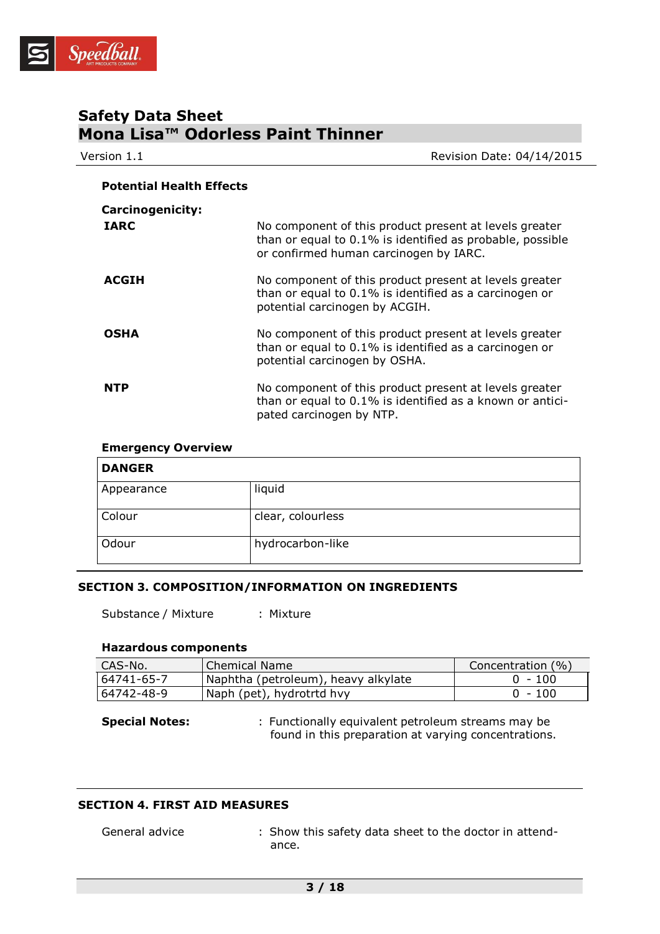

| Version 1.1                     | Revision Date: 04/14/2015                                                                                                                                     |
|---------------------------------|---------------------------------------------------------------------------------------------------------------------------------------------------------------|
| <b>Potential Health Effects</b> |                                                                                                                                                               |
| <b>Carcinogenicity:</b>         |                                                                                                                                                               |
| <b>IARC</b>                     | No component of this product present at levels greater<br>than or equal to 0.1% is identified as probable, possible<br>or confirmed human carcinogen by IARC. |
| <b>ACGIH</b>                    | No component of this product present at levels greater<br>than or equal to 0.1% is identified as a carcinogen or<br>potential carcinogen by ACGIH.            |
| <b>OSHA</b>                     | No component of this product present at levels greater<br>than or equal to 0.1% is identified as a carcinogen or<br>potential carcinogen by OSHA.             |
| <b>NTP</b>                      | No component of this product present at levels greater<br>than or equal to 0.1% is identified as a known or antici-<br>pated carcinogen by NTP.               |

## **Emergency Overview**

| <b>DANGER</b> |                   |
|---------------|-------------------|
| Appearance    | liquid            |
| Colour        | clear, colourless |
| Odour         | hydrocarbon-like  |

## **SECTION 3. COMPOSITION/INFORMATION ON INGREDIENTS**

Substance / Mixture : Mixture

## **Hazardous components**

| CAS-No.    | Chemical Name                       | Concentration (%) |
|------------|-------------------------------------|-------------------|
| 64741-65-7 | Naphtha (petroleum), heavy alkylate | $0 - 100$         |
| 64742-48-9 | Naph (pet), hydrotrtd hvy           | $0 - 100$         |

**Special Notes:** : Functionally equivalent petroleum streams may be found in this preparation at varying concentrations.

## **SECTION 4. FIRST AID MEASURES**

- 
- General advice : Show this safety data sheet to the doctor in attendance.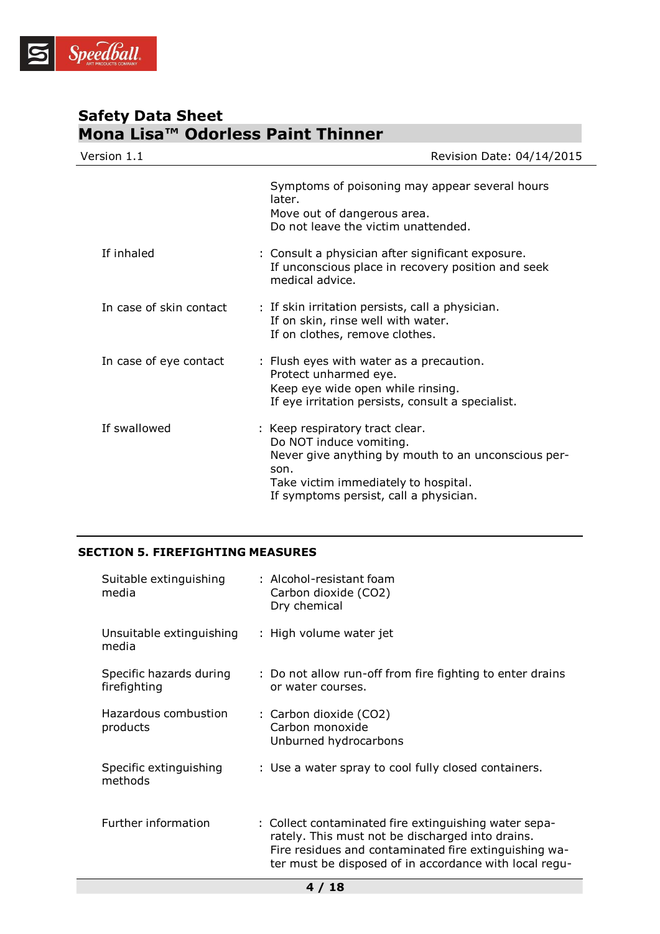

| Version 1.1             | Revision Date: 04/14/2015                                                                                                                                                                                   |
|-------------------------|-------------------------------------------------------------------------------------------------------------------------------------------------------------------------------------------------------------|
|                         | Symptoms of poisoning may appear several hours<br>later.<br>Move out of dangerous area.<br>Do not leave the victim unattended.                                                                              |
| If inhaled              | : Consult a physician after significant exposure.<br>If unconscious place in recovery position and seek<br>medical advice.                                                                                  |
| In case of skin contact | : If skin irritation persists, call a physician.<br>If on skin, rinse well with water.<br>If on clothes, remove clothes.                                                                                    |
| In case of eye contact  | : Flush eyes with water as a precaution.<br>Protect unharmed eye.<br>Keep eye wide open while rinsing.<br>If eye irritation persists, consult a specialist.                                                 |
| If swallowed            | : Keep respiratory tract clear.<br>Do NOT induce vomiting.<br>Never give anything by mouth to an unconscious per-<br>son.<br>Take victim immediately to hospital.<br>If symptoms persist, call a physician. |

## **SECTION 5. FIREFIGHTING MEASURES**

| Suitable extinguishing<br>media         | : Alcohol-resistant foam<br>Carbon dioxide (CO2)<br>Dry chemical                                                                                                                                                             |
|-----------------------------------------|------------------------------------------------------------------------------------------------------------------------------------------------------------------------------------------------------------------------------|
| Unsuitable extinguishing<br>media       | : High volume water jet                                                                                                                                                                                                      |
| Specific hazards during<br>firefighting | : Do not allow run-off from fire fighting to enter drains<br>or water courses.                                                                                                                                               |
| Hazardous combustion<br>products        | : Carbon dioxide (CO2)<br>Carbon monoxide<br>Unburned hydrocarbons                                                                                                                                                           |
| Specific extinguishing<br>methods       | : Use a water spray to cool fully closed containers.                                                                                                                                                                         |
| Further information                     | : Collect contaminated fire extinguishing water sepa-<br>rately. This must not be discharged into drains.<br>Fire residues and contaminated fire extinguishing wa-<br>ter must be disposed of in accordance with local regu- |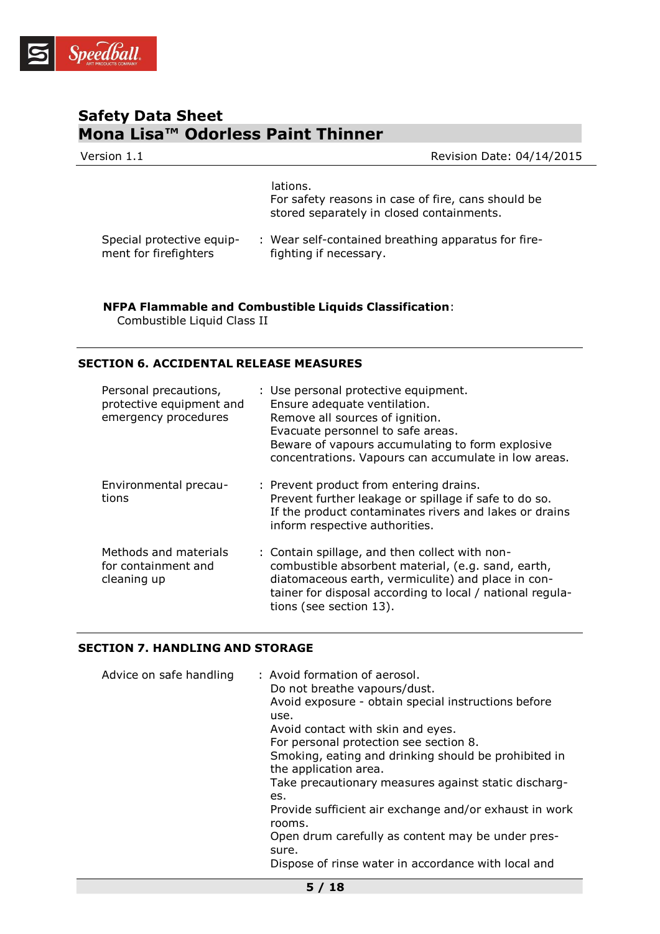

| Version 1.1                                        | Revision Date: 04/14/2015                                                                                   |
|----------------------------------------------------|-------------------------------------------------------------------------------------------------------------|
|                                                    | lations.<br>For safety reasons in case of fire, cans should be<br>stored separately in closed containments. |
| Special protective equip-<br>ment for firefighters | : Wear self-contained breathing apparatus for fire-<br>fighting if necessary.                               |

**NFPA Flammable and Combustible Liquids Classification**:

Combustible Liquid Class II

## **SECTION 6. ACCIDENTAL RELEASE MEASURES**

| Personal precautions,<br>protective equipment and<br>emergency procedures | : Use personal protective equipment.<br>Ensure adequate ventilation.<br>Remove all sources of ignition.<br>Evacuate personnel to safe areas.<br>Beware of vapours accumulating to form explosive<br>concentrations. Vapours can accumulate in low areas. |
|---------------------------------------------------------------------------|----------------------------------------------------------------------------------------------------------------------------------------------------------------------------------------------------------------------------------------------------------|
| Environmental precau-<br>tions                                            | : Prevent product from entering drains.<br>Prevent further leakage or spillage if safe to do so.<br>If the product contaminates rivers and lakes or drains<br>inform respective authorities.                                                             |
| Methods and materials<br>for containment and<br>cleaning up               | : Contain spillage, and then collect with non-<br>combustible absorbent material, (e.g. sand, earth,<br>diatomaceous earth, vermiculite) and place in con-<br>tainer for disposal according to local / national regula-<br>tions (see section 13).       |

## **SECTION 7. HANDLING AND STORAGE**

| Advice on safe handling | : Avoid formation of aerosol.<br>Do not breathe vapours/dust.<br>Avoid exposure - obtain special instructions before<br>use.<br>Avoid contact with skin and eyes.<br>For personal protection see section 8.<br>Smoking, eating and drinking should be prohibited in<br>the application area.<br>Take precautionary measures against static discharg-<br>es.<br>Provide sufficient air exchange and/or exhaust in work<br>rooms.<br>Open drum carefully as content may be under pres-<br>sure.<br>Dispose of rinse water in accordance with local and |
|-------------------------|------------------------------------------------------------------------------------------------------------------------------------------------------------------------------------------------------------------------------------------------------------------------------------------------------------------------------------------------------------------------------------------------------------------------------------------------------------------------------------------------------------------------------------------------------|
|                         |                                                                                                                                                                                                                                                                                                                                                                                                                                                                                                                                                      |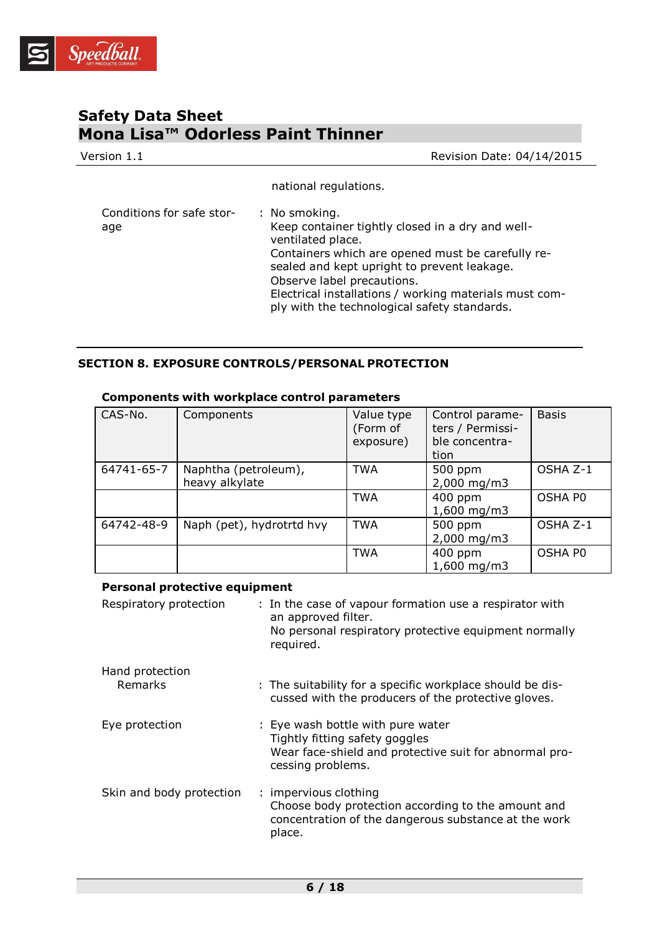

| Version 1.1                      | Revision Date: 04/14/2015                                                                                                                                                                                                                                                                                                          |
|----------------------------------|------------------------------------------------------------------------------------------------------------------------------------------------------------------------------------------------------------------------------------------------------------------------------------------------------------------------------------|
|                                  | national regulations.                                                                                                                                                                                                                                                                                                              |
| Conditions for safe stor-<br>age | : No smoking.<br>Keep container tightly closed in a dry and well-<br>ventilated place.<br>Containers which are opened must be carefully re-<br>sealed and kept upright to prevent leakage.<br>Observe label precautions.<br>Electrical installations / working materials must com-<br>ply with the technological safety standards. |

## **SECTION 8. EXPOSURE CONTROLS/PERSONAL PROTECTION**

| CAS-No.    | Components                             | Value type<br>(Form of<br>exposure) | Control parame-<br>ters / Permissi-<br>ble concentra-<br>tion | <b>Basis</b> |
|------------|----------------------------------------|-------------------------------------|---------------------------------------------------------------|--------------|
| 64741-65-7 | Naphtha (petroleum),<br>heavy alkylate | <b>TWA</b>                          | 500 ppm<br>$2,000$ mg/m3                                      | OSHA Z-1     |
|            |                                        | <b>TWA</b>                          | 400 ppm<br>$1,600$ mg/m3                                      | OSHA PO      |
| 64742-48-9 | Naph (pet), hydrotrtd hvy              | <b>TWA</b>                          | 500 ppm<br>$2,000 \,\mathrm{mg/m}$                            | OSHA Z-1     |
|            |                                        | <b>TWA</b>                          | 400 ppm<br>$1,600$ mg/m3                                      | OSHA PO      |

## **Components with workplace control parameters**

## **Personal protective equipment**

| Respiratory protection   | : In the case of vapour formation use a respirator with<br>an approved filter.<br>No personal respiratory protective equipment normally<br>required. |
|--------------------------|------------------------------------------------------------------------------------------------------------------------------------------------------|
| Hand protection          |                                                                                                                                                      |
| <b>Remarks</b>           | : The suitability for a specific workplace should be dis-<br>cussed with the producers of the protective gloves.                                     |
| Eye protection           | : Eye wash bottle with pure water<br>Tightly fitting safety goggles<br>Wear face-shield and protective suit for abnormal pro-<br>cessing problems.   |
| Skin and body protection | : impervious clothing<br>Choose body protection according to the amount and<br>concentration of the dangerous substance at the work<br>place.        |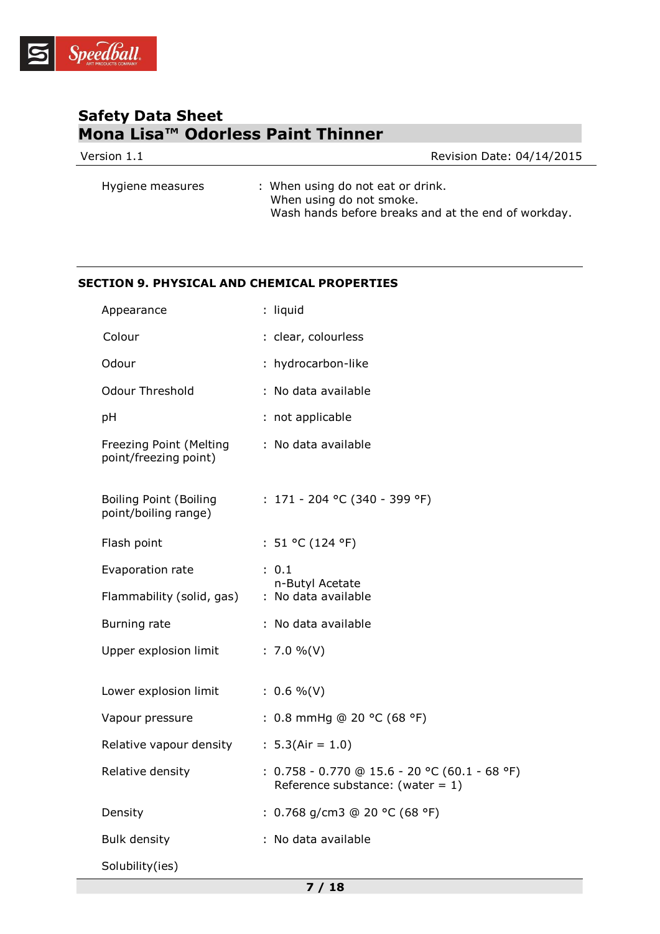

| Version 1.1      | <b>Revision Date: 04/14/2015</b>                              |
|------------------|---------------------------------------------------------------|
| Hygiene measures | : When using do not eat or drink.<br>When using do not smoke. |

Wash hands before breaks and at the end of workday.

## **SECTION 9. PHYSICAL AND CHEMICAL PROPERTIES**

| Appearance                                            | : liquid                                                                               |
|-------------------------------------------------------|----------------------------------------------------------------------------------------|
| Colour                                                | : clear, colourless                                                                    |
| Odour                                                 | : hydrocarbon-like                                                                     |
| <b>Odour Threshold</b>                                | : No data available                                                                    |
| pH                                                    | : not applicable                                                                       |
| Freezing Point (Melting<br>point/freezing point)      | : No data available                                                                    |
| <b>Boiling Point (Boiling</b><br>point/boiling range) | : $171 - 204$ °C (340 - 399 °F)                                                        |
| Flash point                                           | : $51 °C (124 °F)$                                                                     |
| Evaporation rate                                      | : 0.1<br>n-Butyl Acetate                                                               |
| Flammability (solid, gas)                             | : No data available                                                                    |
| Burning rate                                          | : No data available                                                                    |
| Upper explosion limit                                 | : $7.0 \%$ (V)                                                                         |
| Lower explosion limit                                 | $: 0.6 \%$ (V)                                                                         |
| Vapour pressure                                       | : 0.8 mmHg @ 20 °C (68 °F)                                                             |
| Relative vapour density                               | : $5.3(Air = 1.0)$                                                                     |
| Relative density                                      | : $0.758 - 0.770$ @ 15.6 - 20 °C (60.1 - 68 °F)<br>Reference substance: (water = $1$ ) |
| Density                                               | : 0.768 g/cm3 @ 20 °C (68 °F)                                                          |
| <b>Bulk density</b>                                   | : No data available                                                                    |
| Solubility(ies)                                       |                                                                                        |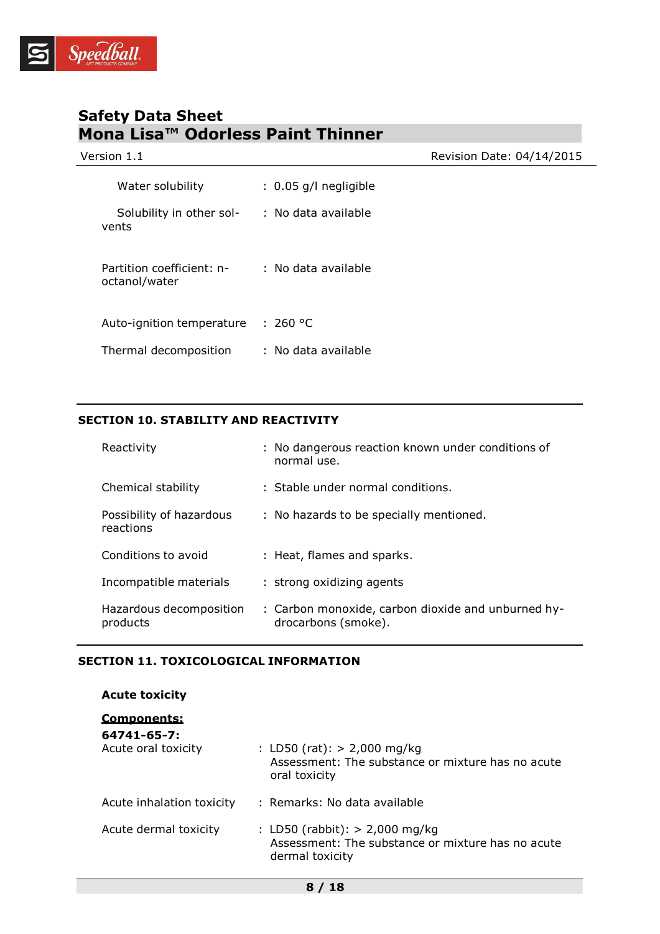

| Version 1.1                                |                         | Revision Date: 04/14/2015 |
|--------------------------------------------|-------------------------|---------------------------|
| Water solubility                           | $: 0.05$ g/l negligible |                           |
| Solubility in other sol-<br>vents          | : No data available     |                           |
| Partition coefficient: n-<br>octanol/water | : No data available     |                           |
| Auto-ignition temperature                  | : 260 °C                |                           |
| Thermal decomposition                      | : No data available     |                           |

## **SECTION 10. STABILITY AND REACTIVITY**

| Reactivity                            | : No dangerous reaction known under conditions of<br>normal use.          |
|---------------------------------------|---------------------------------------------------------------------------|
| Chemical stability                    | : Stable under normal conditions.                                         |
| Possibility of hazardous<br>reactions | : No hazards to be specially mentioned.                                   |
| Conditions to avoid                   | : Heat, flames and sparks.                                                |
| Incompatible materials                | : strong oxidizing agents                                                 |
| Hazardous decomposition<br>products   | : Carbon monoxide, carbon dioxide and unburned hy-<br>drocarbons (smoke). |

## **SECTION 11. TOXICOLOGICAL INFORMATION**

| <b>Acute toxicity</b>                             |                                                                                                          |
|---------------------------------------------------|----------------------------------------------------------------------------------------------------------|
| Components:<br>64741-65-7:<br>Acute oral toxicity | : LD50 (rat): $> 2,000$ mg/kg<br>Assessment: The substance or mixture has no acute                       |
|                                                   | oral toxicity                                                                                            |
| Acute inhalation toxicity                         | : Remarks: No data available                                                                             |
| Acute dermal toxicity                             | : LD50 (rabbit): $> 2,000$ mg/kg<br>Assessment: The substance or mixture has no acute<br>dermal toxicity |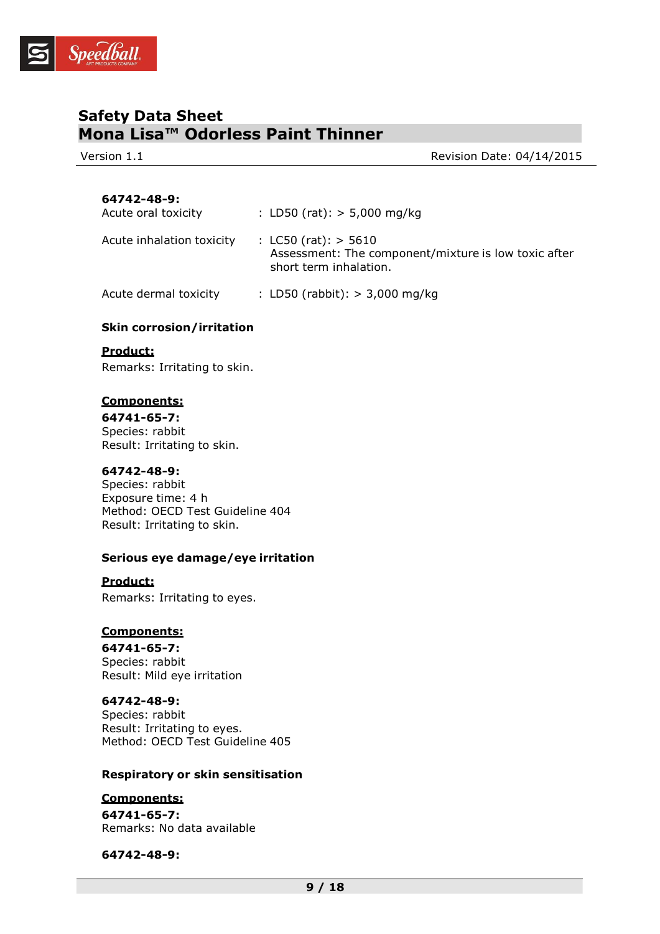

Version 1.1 Version 1.1

## **64742-48-9:**

| Acute oral toxicity       | : LD50 (rat): $> 5,000$ mg/kg                                                                              |
|---------------------------|------------------------------------------------------------------------------------------------------------|
| Acute inhalation toxicity | : $LC50$ (rat): $> 5610$<br>Assessment: The component/mixture is low toxic after<br>short term inhalation. |
| Acute dermal toxicity     | : LD50 (rabbit): $> 3,000$ mg/kg                                                                           |

## **Skin corrosion/irritation**

## **Product:**

Remarks: Irritating to skin.

## **Components:**

**64741-65-7:** Species: rabbit Result: Irritating to skin.

#### **64742-48-9:**

Species: rabbit Exposure time: 4 h Method: OECD Test Guideline 404 Result: Irritating to skin.

## **Serious eye damage/eye irritation**

#### **Product:**

Remarks: Irritating to eyes.

## **Components:**

**64741-65-7:** Species: rabbit Result: Mild eye irritation

## **64742-48-9:**

Species: rabbit Result: Irritating to eyes. Method: OECD Test Guideline 405

#### **Respiratory or skin sensitisation**

## **Components:**

**64741-65-7:** Remarks: No data available

**64742-48-9:**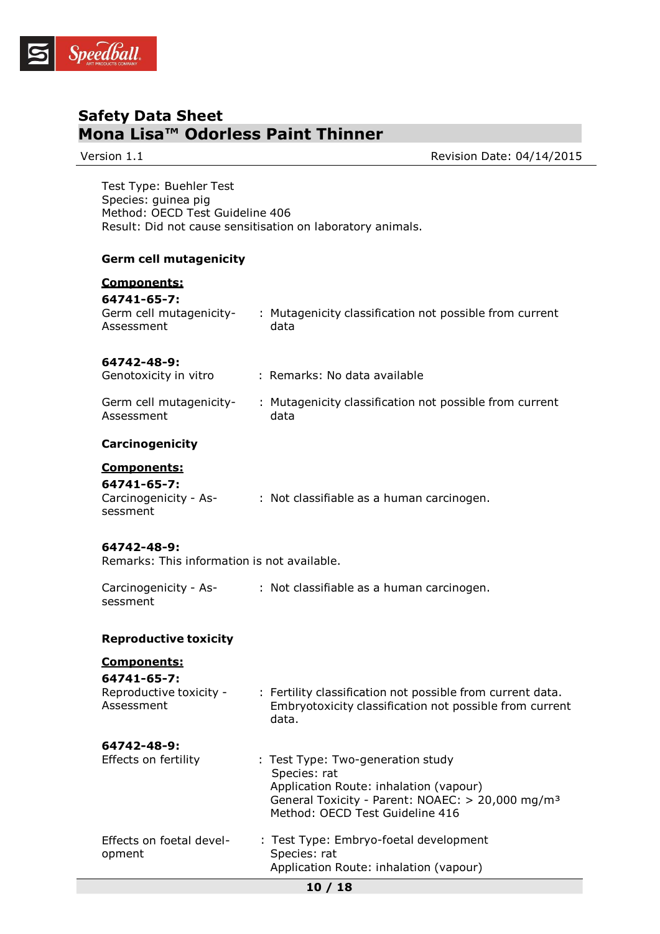

Version 1.1 **Network** 2015 **Review Additionally Revision Date: 04/14/2015** 

Test Type: Buehler Test Species: guinea pig Method: OECD Test Guideline 406 Result: Did not cause sensitisation on laboratory animals.

#### **Germ cell mutagenicity**

## **Components: 64741-65-7:** Germ cell mutagenicity-Assessment : Mutagenicity classification not possible from current data **64742-48-9:** Genotoxicity in vitro : Remarks: No data available Germ cell mutagenicity-Assessment : Mutagenicity classification not possible from current data **Carcinogenicity Components: 64741-65-7:**  Carcinogenicity - Assessment : Not classifiable as a human carcinogen. **64742-48-9:** Remarks: This information is not available. Carcinogenicity - Assessment : Not classifiable as a human carcinogen. **Reproductive toxicity Components: 64741-65-7:**  Reproductive toxicity - Assessment : Fertility classification not possible from current data. Embryotoxicity classification not possible from current data. **64742-48-9:** Effects on fertility : Test Type: Two-generation study Species: rat

## **10 / 18** Application Route: inhalation (vapour) General Toxicity - Parent: NOAEC: > 20,000 mg/m³ Method: OECD Test Guideline 416 Effects on foetal development : Test Type: Embryo-foetal development Species: rat Application Route: inhalation (vapour)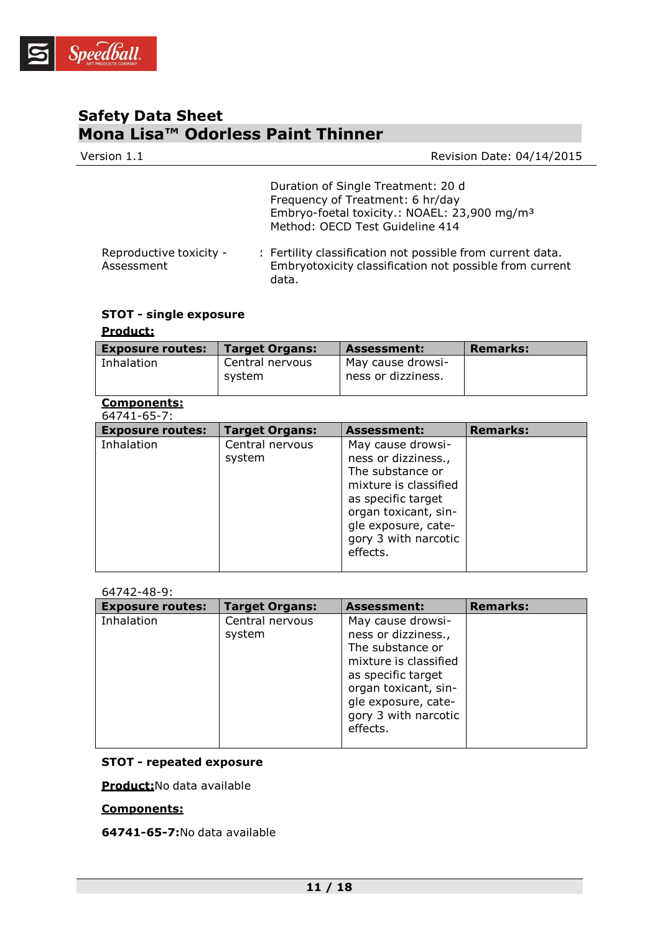

| Version 1.1                           | Revision Date: 04/14/2015                                                                                                                                             |
|---------------------------------------|-----------------------------------------------------------------------------------------------------------------------------------------------------------------------|
|                                       | Duration of Single Treatment: 20 d<br>Frequency of Treatment: 6 hr/day<br>Embryo-foetal toxicity.: NOAEL: 23,900 mg/m <sup>3</sup><br>Method: OECD Test Guideline 414 |
| Reproductive toxicity -<br>Assessment | : Fertility classification not possible from current data.<br>Embryotoxicity classification not possible from current<br>data.                                        |

## **STOT - single exposure**

## **Product:**

| <b>Exposure routes:</b> | <b>Target Organs:</b> | <b>Assessment:</b> | <b>Remarks:</b> |
|-------------------------|-----------------------|--------------------|-----------------|
| Inhalation              | Central nervous       | May cause drowsi-  |                 |
|                         | system                | ness or dizziness. |                 |

#### **Components:** 64741-65-7:

| <b>Exposure routes:</b> | <b>Target Organs:</b>     | <b>Assessment:</b>                                                                                                                                                                             | <b>Remarks:</b> |
|-------------------------|---------------------------|------------------------------------------------------------------------------------------------------------------------------------------------------------------------------------------------|-----------------|
| Inhalation              | Central nervous<br>system | May cause drowsi-<br>ness or dizziness.,<br>The substance or<br>mixture is classified<br>as specific target<br>organ toxicant, sin-<br>gle exposure, cate-<br>gory 3 with narcotic<br>effects. |                 |

#### 64742-48-9:

| <b>Exposure routes:</b> | <b>Target Organs:</b>     | <b>Assessment:</b>                                                                                                                                                                             | <b>Remarks:</b> |
|-------------------------|---------------------------|------------------------------------------------------------------------------------------------------------------------------------------------------------------------------------------------|-----------------|
| Inhalation              | Central nervous<br>system | May cause drowsi-<br>ness or dizziness.,<br>The substance or<br>mixture is classified<br>as specific target<br>organ toxicant, sin-<br>gle exposure, cate-<br>gory 3 with narcotic<br>effects. |                 |

## **STOT - repeated exposure**

**Product:**No data available

## **Components:**

**64741-65-7:**No data available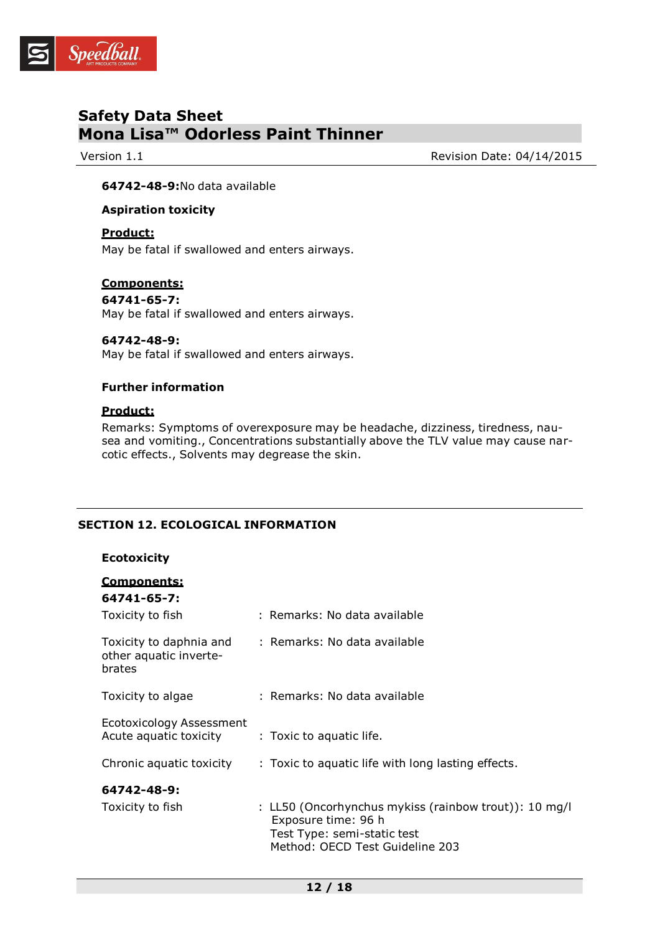

Version 1.1 Version 1.1

#### **64742-48-9:**No data available

#### **Aspiration toxicity**

## **Product:**

May be fatal if swallowed and enters airways.

## **Components:**

**64741-65-7:** May be fatal if swallowed and enters airways.

## **64742-48-9:**

May be fatal if swallowed and enters airways.

## **Further information**

## **Product:**

Remarks: Symptoms of overexposure may be headache, dizziness, tiredness, nausea and vomiting., Concentrations substantially above the TLV value may cause narcotic effects., Solvents may degrease the skin.

## **SECTION 12. ECOLOGICAL INFORMATION**

## **Ecotoxicity**

| Components:<br>64741-65-7:                                  |                                                                                                                                                |
|-------------------------------------------------------------|------------------------------------------------------------------------------------------------------------------------------------------------|
| Toxicity to fish                                            | : Remarks: No data available                                                                                                                   |
| Toxicity to daphnia and<br>other aquatic inverte-<br>brates | : Remarks: No data available                                                                                                                   |
| Toxicity to algae                                           | : Remarks: No data available                                                                                                                   |
| Ecotoxicology Assessment<br>Acute aquatic toxicity          | : Toxic to aquatic life.                                                                                                                       |
| Chronic aquatic toxicity                                    | : Toxic to aquatic life with long lasting effects.                                                                                             |
| 64742-48-9:<br>Toxicity to fish                             | : LL50 (Oncorhynchus mykiss (rainbow trout)): 10 mg/l<br>Exposure time: 96 h<br>Test Type: semi-static test<br>Method: OECD Test Guideline 203 |
|                                                             |                                                                                                                                                |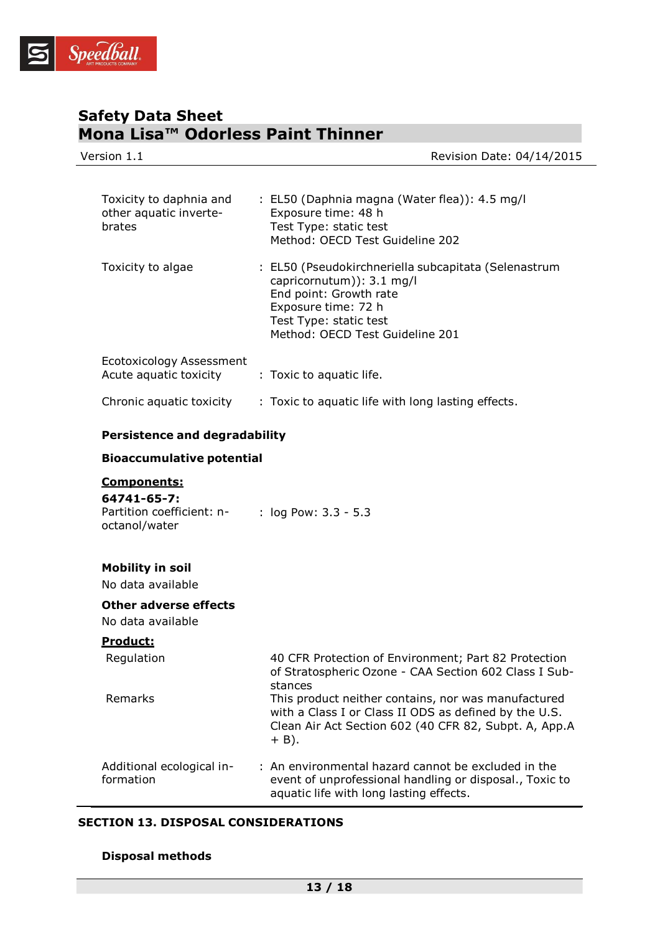

| Version 1.1                                                              |                                                                                                                                                                                                                                                                                                              | Revision Date: 04/14/2015 |
|--------------------------------------------------------------------------|--------------------------------------------------------------------------------------------------------------------------------------------------------------------------------------------------------------------------------------------------------------------------------------------------------------|---------------------------|
|                                                                          |                                                                                                                                                                                                                                                                                                              |                           |
| Toxicity to daphnia and<br>other aquatic inverte-<br>brates              | : EL50 (Daphnia magna (Water flea)): 4.5 mg/l<br>Exposure time: 48 h<br>Test Type: static test<br>Method: OECD Test Guideline 202                                                                                                                                                                            |                           |
| Toxicity to algae                                                        | : EL50 (Pseudokirchneriella subcapitata (Selenastrum<br>capricornutum)): 3.1 mg/l<br>End point: Growth rate<br>Exposure time: 72 h<br>Test Type: static test<br>Method: OECD Test Guideline 201                                                                                                              |                           |
| Ecotoxicology Assessment<br>Acute aquatic toxicity                       | : Toxic to aquatic life.                                                                                                                                                                                                                                                                                     |                           |
| Chronic aquatic toxicity                                                 | : Toxic to aquatic life with long lasting effects.                                                                                                                                                                                                                                                           |                           |
| <b>Persistence and degradability</b>                                     |                                                                                                                                                                                                                                                                                                              |                           |
| <b>Bioaccumulative potential</b>                                         |                                                                                                                                                                                                                                                                                                              |                           |
| Components:<br>64741-65-7:<br>Partition coefficient: n-<br>octanol/water | : log Pow: 3.3 - 5.3                                                                                                                                                                                                                                                                                         |                           |
| <b>Mobility in soil</b><br>No data available                             |                                                                                                                                                                                                                                                                                                              |                           |
| Other adverse effects<br>No data available                               |                                                                                                                                                                                                                                                                                                              |                           |
| Product:                                                                 |                                                                                                                                                                                                                                                                                                              |                           |
| Regulation<br>Remarks                                                    | 40 CFR Protection of Environment; Part 82 Protection<br>of Stratospheric Ozone - CAA Section 602 Class I Sub-<br>stances<br>This product neither contains, nor was manufactured<br>with a Class I or Class II ODS as defined by the U.S.<br>Clean Air Act Section 602 (40 CFR 82, Subpt. A, App.A<br>$+$ B). |                           |
| Additional ecological in-<br>formation                                   | : An environmental hazard cannot be excluded in the<br>event of unprofessional handling or disposal., Toxic to<br>aquatic life with long lasting effects.                                                                                                                                                    |                           |

## **SECTION 13. DISPOSAL CONSIDERATIONS**

## **Disposal methods**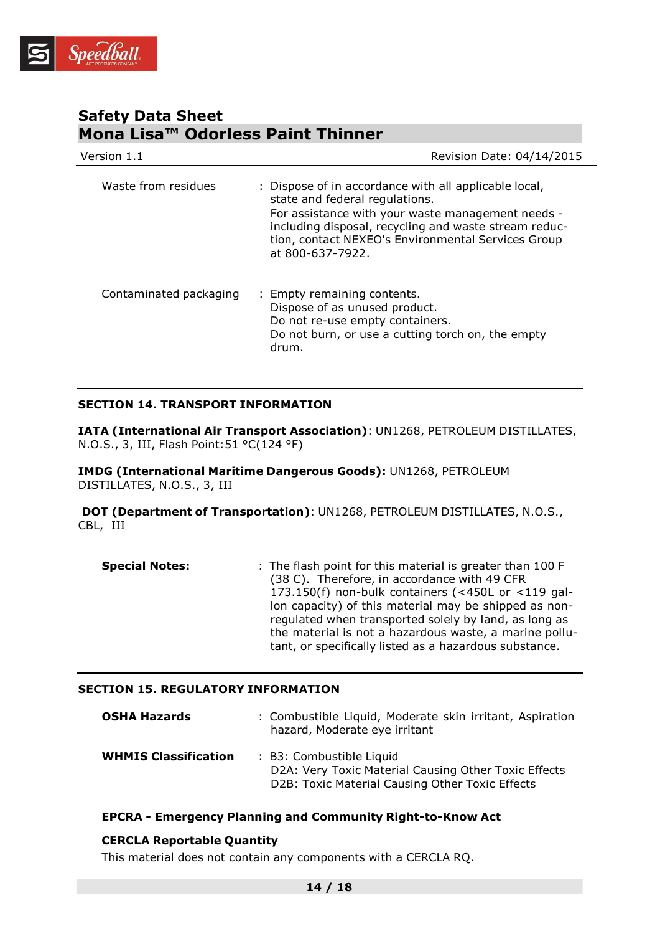

| Version 1.1            | Revision Date: 04/14/2015                                                                                                                                                                                                                                                       |  |
|------------------------|---------------------------------------------------------------------------------------------------------------------------------------------------------------------------------------------------------------------------------------------------------------------------------|--|
| Waste from residues    | : Dispose of in accordance with all applicable local,<br>state and federal regulations.<br>For assistance with your waste management needs -<br>including disposal, recycling and waste stream reduc-<br>tion, contact NEXEO's Environmental Services Group<br>at 800-637-7922. |  |
| Contaminated packaging | : Empty remaining contents.<br>Dispose of as unused product.<br>Do not re-use empty containers.<br>Do not burn, or use a cutting torch on, the empty<br>drum.                                                                                                                   |  |

## **SECTION 14. TRANSPORT INFORMATION**

**IATA (International Air Transport Association)**: UN1268, PETROLEUM DISTILLATES, N.O.S., 3, III, Flash Point:51 °C(124 °F)

**IMDG (International Maritime Dangerous Goods):** UN1268, PETROLEUM DISTILLATES, N.O.S., 3, III

**DOT (Department of Transportation)**: UN1268, PETROLEUM DISTILLATES, N.O.S., CBL, III

| <b>Special Notes:</b> | : The flash point for this material is greater than 100 F |
|-----------------------|-----------------------------------------------------------|
|                       | (38 C). Therefore, in accordance with 49 CFR              |
|                       | 173.150(f) non-bulk containers (<450L or $\lt119$ gal-    |
|                       | lon capacity) of this material may be shipped as non-     |
|                       | regulated when transported solely by land, as long as     |
|                       | the material is not a hazardous waste, a marine pollu-    |
|                       | tant, or specifically listed as a hazardous substance.    |

## **SECTION 15. REGULATORY INFORMATION**

| <b>OSHA Hazards</b>         | : Combustible Liquid, Moderate skin irritant, Aspiration<br>hazard, Moderate eye irritant                                           |
|-----------------------------|-------------------------------------------------------------------------------------------------------------------------------------|
| <b>WHMIS Classification</b> | : B3: Combustible Liquid<br>D2A: Very Toxic Material Causing Other Toxic Effects<br>D2B: Toxic Material Causing Other Toxic Effects |

#### **EPCRA - Emergency Planning and Community Right-to-Know Act**

## **CERCLA Reportable Quantity**

This material does not contain any components with a CERCLA RQ.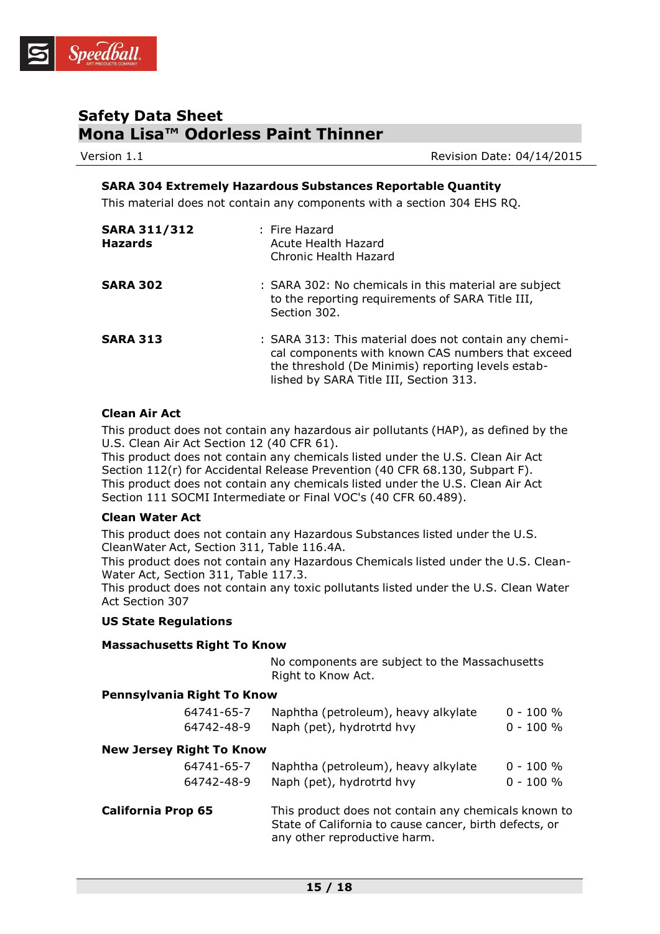

Version 1.1 **Network** 2015 **Review Additionally Revision Date: 04/14/2015** 

## **SARA 304 Extremely Hazardous Substances Reportable Quantity**

This material does not contain any components with a section 304 EHS RQ.

| <b>SARA 311/312</b><br><b>Hazards</b> | : Fire Hazard<br>Acute Health Hazard<br>Chronic Health Hazard                                                                                                                                              |
|---------------------------------------|------------------------------------------------------------------------------------------------------------------------------------------------------------------------------------------------------------|
| <b>SARA 302</b>                       | : SARA 302: No chemicals in this material are subject<br>to the reporting requirements of SARA Title III,<br>Section 302.                                                                                  |
| <b>SARA 313</b>                       | : SARA 313: This material does not contain any chemi-<br>cal components with known CAS numbers that exceed<br>the threshold (De Minimis) reporting levels estab-<br>lished by SARA Title III, Section 313. |

## **Clean Air Act**

This product does not contain any hazardous air pollutants (HAP), as defined by the U.S. Clean Air Act Section 12 (40 CFR 61).

This product does not contain any chemicals listed under the U.S. Clean Air Act Section 112(r) for Accidental Release Prevention (40 CFR 68.130, Subpart F). This product does not contain any chemicals listed under the U.S. Clean Air Act Section 111 SOCMI Intermediate or Final VOC's (40 CFR 60.489).

#### **Clean Water Act**

This product does not contain any Hazardous Substances listed under the U.S. CleanWater Act, Section 311, Table 116.4A.

This product does not contain any Hazardous Chemicals listed under the U.S. Clean-Water Act, Section 311, Table 117.3.

This product does not contain any toxic pollutants listed under the U.S. Clean Water Act Section 307

#### **US State Regulations**

| <b>Massachusetts Right To Know</b> |                                                                                                                                                |              |
|------------------------------------|------------------------------------------------------------------------------------------------------------------------------------------------|--------------|
|                                    | No components are subject to the Massachusetts<br>Right to Know Act.                                                                           |              |
| Pennsylvania Right To Know         |                                                                                                                                                |              |
| 64741-65-7                         | Naphtha (petroleum), heavy alkylate                                                                                                            | $0 - 100 %$  |
| 64742-48-9                         | Naph (pet), hydrotrtd hvy                                                                                                                      | $0 - 100 \%$ |
| <b>New Jersey Right To Know</b>    |                                                                                                                                                |              |
| 64741-65-7                         | Naphtha (petroleum), heavy alkylate                                                                                                            | $0 - 100 %$  |
| 64742-48-9                         | Naph (pet), hydrotrtd hvy                                                                                                                      | $0 - 100 \%$ |
| <b>California Prop 65</b>          | This product does not contain any chemicals known to<br>State of California to cause cancer, birth defects, or<br>any other reproductive harm. |              |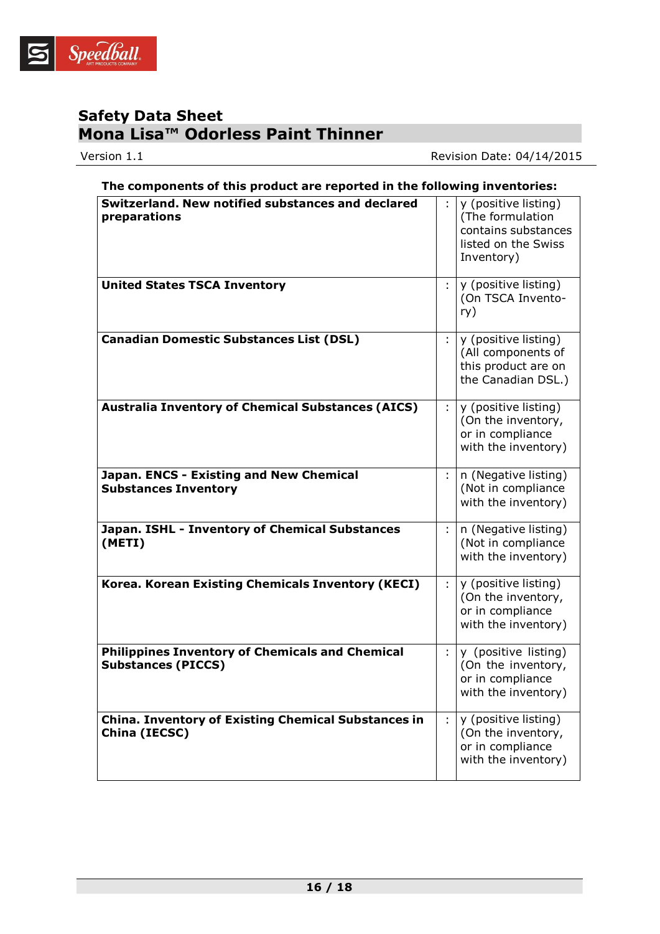

Version 1.1 Version 1.1

| The components of this product are reported in the following inventories:           |   |                                                                                                      |  |
|-------------------------------------------------------------------------------------|---|------------------------------------------------------------------------------------------------------|--|
| Switzerland. New notified substances and declared<br>preparations                   |   | y (positive listing)<br>(The formulation<br>contains substances<br>listed on the Swiss<br>Inventory) |  |
| <b>United States TSCA Inventory</b>                                                 | ÷ | y (positive listing)<br>(On TSCA Invento-<br>ry)                                                     |  |
| <b>Canadian Domestic Substances List (DSL)</b>                                      | ÷ | y (positive listing)<br>(All components of<br>this product are on<br>the Canadian DSL.)              |  |
| <b>Australia Inventory of Chemical Substances (AICS)</b>                            | ÷ | y (positive listing)<br>(On the inventory,<br>or in compliance<br>with the inventory)                |  |
| Japan. ENCS - Existing and New Chemical<br><b>Substances Inventory</b>              | ÷ | n (Negative listing)<br>(Not in compliance<br>with the inventory)                                    |  |
| Japan. ISHL - Inventory of Chemical Substances<br>(METI)                            | ÷ | n (Negative listing)<br>(Not in compliance<br>with the inventory)                                    |  |
| Korea. Korean Existing Chemicals Inventory (KECI)                                   | ÷ | y (positive listing)<br>(On the inventory,<br>or in compliance<br>with the inventory)                |  |
| <b>Philippines Inventory of Chemicals and Chemical</b><br><b>Substances (PICCS)</b> | ÷ | y (positive listing)<br>(On the inventory,<br>or in compliance<br>with the inventory)                |  |
| <b>China. Inventory of Existing Chemical Substances in</b><br>China (IECSC)         | ÷ | y (positive listing)<br>(On the inventory,<br>or in compliance<br>with the inventory)                |  |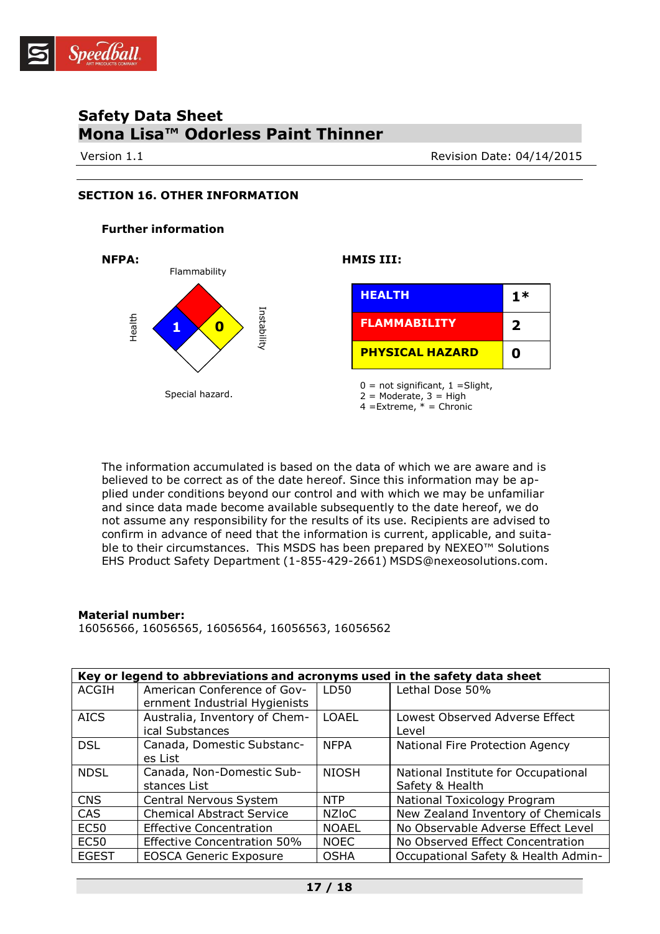

Version 1.1 **Network** Revision Date: 04/14/2015

## **SECTION 16. OTHER INFORMATION**

#### **Further information**



The information accumulated is based on the data of which we are aware and is believed to be correct as of the date hereof. Since this information may be applied under conditions beyond our control and with which we may be unfamiliar and since data made become available subsequently to the date hereof, we do not assume any responsibility for the results of its use. Recipients are advised to confirm in advance of need that the information is current, applicable, and suitable to their circumstances. This MSDS has been prepared by NEXEO™ Solutions EHS Product Safety Department (1-855-429-2661) [MSDS@nexeosolutions.com.](mailto:MSDS@nexeosolutions.com)

#### **Material number:**

16056566, 16056565, 16056564, 16056563, 16056562

|              | Key or legend to abbreviations and acronyms used in the safety data sheet |              |                                                        |  |  |
|--------------|---------------------------------------------------------------------------|--------------|--------------------------------------------------------|--|--|
| <b>ACGIH</b> | American Conference of Gov-<br>ernment Industrial Hygienists              | LD50         | Lethal Dose 50%                                        |  |  |
| <b>AICS</b>  | Australia, Inventory of Chem-<br>ical Substances                          | <b>LOAEL</b> | Lowest Observed Adverse Effect<br>Level                |  |  |
| <b>DSL</b>   | Canada, Domestic Substanc-<br>es List                                     | <b>NFPA</b>  | National Fire Protection Agency                        |  |  |
| <b>NDSL</b>  | Canada, Non-Domestic Sub-<br>stances List                                 | <b>NIOSH</b> | National Institute for Occupational<br>Safety & Health |  |  |
| <b>CNS</b>   | Central Nervous System                                                    | <b>NTP</b>   | National Toxicology Program                            |  |  |
| <b>CAS</b>   | <b>Chemical Abstract Service</b>                                          | <b>NZIoC</b> | New Zealand Inventory of Chemicals                     |  |  |
| <b>EC50</b>  | <b>Effective Concentration</b>                                            | <b>NOAEL</b> | No Observable Adverse Effect Level                     |  |  |
| <b>EC50</b>  | <b>Effective Concentration 50%</b>                                        | <b>NOEC</b>  | No Observed Effect Concentration                       |  |  |
| <b>EGEST</b> | <b>EOSCA Generic Exposure</b>                                             | <b>OSHA</b>  | Occupational Safety & Health Admin-                    |  |  |